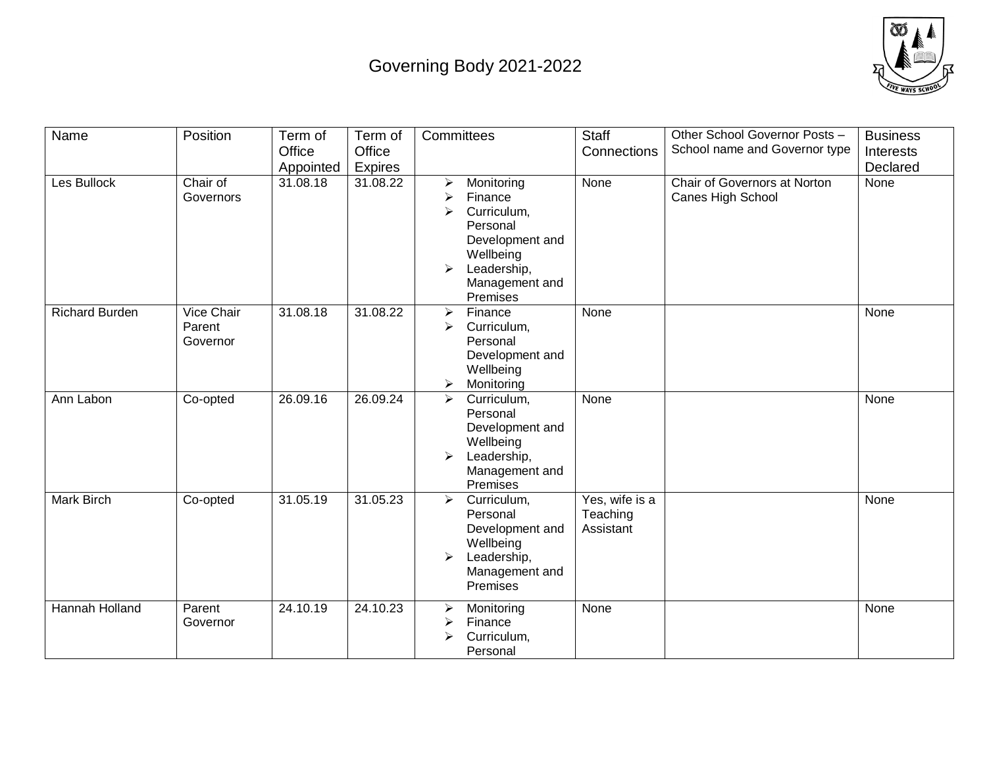## Governing Body 2021-2022



| Name                  | Position                         | Term of   | Term of  | Committees                                                                                                                                        | <b>Staff</b>                            | Other School Governor Posts -                     | <b>Business</b> |
|-----------------------|----------------------------------|-----------|----------|---------------------------------------------------------------------------------------------------------------------------------------------------|-----------------------------------------|---------------------------------------------------|-----------------|
|                       |                                  | Office    | Office   |                                                                                                                                                   | Connections                             | School name and Governor type                     | Interests       |
|                       |                                  | Appointed | Expires  |                                                                                                                                                   |                                         |                                                   | Declared        |
| Les Bullock           | Chair of<br>Governors            | 31.08.18  | 31.08.22 | Monitoring<br>➤<br>➤<br>Finance<br>Curriculum,<br>➤<br>Personal<br>Development and<br>Wellbeing<br>Leadership,<br>➤<br>Management and<br>Premises | None                                    | Chair of Governors at Norton<br>Canes High School | None            |
| <b>Richard Burden</b> | Vice Chair<br>Parent<br>Governor | 31.08.18  | 31.08.22 | Finance<br>$\blacktriangleright$<br>$\blacktriangleright$<br>Curriculum,<br>Personal<br>Development and<br>Wellbeing<br>Monitoring<br>➤           | None                                    |                                                   | None            |
| Ann Labon             | Co-opted                         | 26.09.16  | 26.09.24 | Curriculum,<br>➤<br>Personal<br>Development and<br>Wellbeing<br>Leadership,<br>↘<br>Management and<br>Premises                                    | None                                    |                                                   | None            |
| Mark Birch            | Co-opted                         | 31.05.19  | 31.05.23 | Curriculum,<br>$\blacktriangleright$<br>Personal<br>Development and<br>Wellbeing<br>Leadership,<br>➤<br>Management and<br>Premises                | Yes, wife is a<br>Teaching<br>Assistant |                                                   | None            |
| Hannah Holland        | Parent<br>Governor               | 24.10.19  | 24.10.23 | Monitoring<br>➤<br>Finance<br>↘<br>Curriculum,<br>➤<br>Personal                                                                                   | None                                    |                                                   | None            |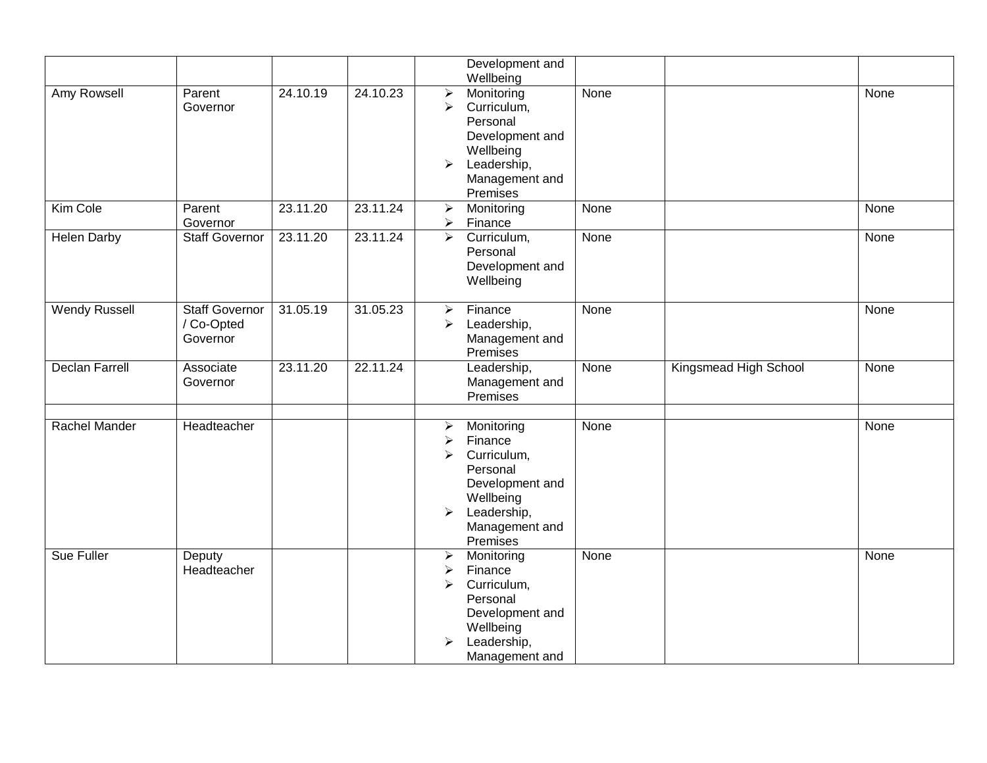|                       |                                                 |          |          | Development and                                                                                                                                                                                       |                       |      |
|-----------------------|-------------------------------------------------|----------|----------|-------------------------------------------------------------------------------------------------------------------------------------------------------------------------------------------------------|-----------------------|------|
|                       |                                                 |          |          | Wellbeing                                                                                                                                                                                             |                       |      |
| Amy Rowsell           | Parent<br>Governor                              | 24.10.19 | 24.10.23 | Monitoring<br>None<br>$\blacktriangleright$<br>$\blacktriangleright$<br>Curriculum,<br>Personal<br>Development and<br>Wellbeing<br>Leadership,<br>$\blacktriangleright$<br>Management and<br>Premises |                       | None |
| Kim Cole              | Parent<br>Governor                              | 23.11.20 | 23.11.24 | Monitoring<br>None<br>$\blacktriangleright$<br>Finance<br>$\blacktriangleright$                                                                                                                       |                       | None |
| <b>Helen Darby</b>    | <b>Staff Governor</b>                           | 23.11.20 | 23.11.24 | Curriculum,<br>$\blacktriangleright$<br>None<br>Personal<br>Development and<br>Wellbeing                                                                                                              |                       | None |
| <b>Wendy Russell</b>  | <b>Staff Governor</b><br>/ Co-Opted<br>Governor | 31.05.19 | 31.05.23 | Finance<br>None<br>$\blacktriangleright$<br>Leadership,<br>➤<br>Management and<br>Premises                                                                                                            |                       | None |
| <b>Declan Farrell</b> | Associate<br>Governor                           | 23.11.20 | 22.11.24 | Leadership,<br>None<br>Management and<br>Premises                                                                                                                                                     | Kingsmead High School | None |
| <b>Rachel Mander</b>  | Headteacher                                     |          |          | Monitoring<br>None<br>➤<br>Finance<br>➤<br>Curriculum,<br>➤<br>Personal<br>Development and<br>Wellbeing<br>Leadership,<br>$\blacktriangleright$<br>Management and<br>Premises                         |                       | None |
| <b>Sue Fuller</b>     | Deputy<br>Headteacher                           |          |          | None<br>$\blacktriangleright$<br>Monitoring<br>Finance<br>➤<br>Curriculum,<br>➤<br>Personal<br>Development and<br>Wellbeing<br>Leadership,<br>➤<br>Management and                                     |                       | None |